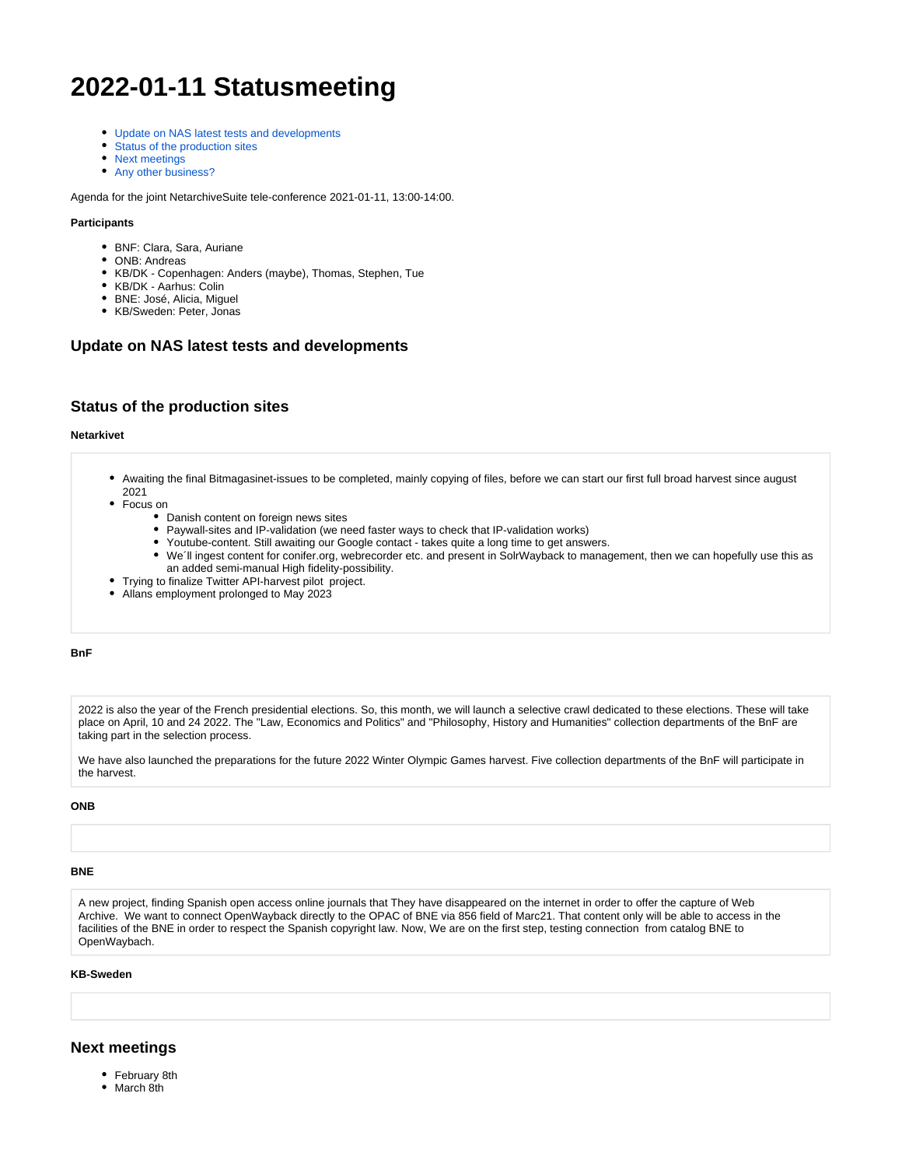# **2022-01-11 Statusmeeting**

- [Update on NAS latest tests and developments](#page-0-0)
- $\bullet$ [Status of the production sites](#page-0-1)
- [Next meetings](#page-0-2)
- [Any other business?](#page-1-0)

Agenda for the joint NetarchiveSuite tele-conference 2021-01-11, 13:00-14:00.

#### **Participants**

- BNF: Clara, Sara, Auriane
- ONB: Andreas
- KB/DK Copenhagen: Anders (maybe), Thomas, Stephen, Tue
- KB/DK Aarhus: Colin
- BNE: José, Alicia, Miguel
- KB/Sweden: Peter, Jonas

# <span id="page-0-0"></span>**Update on NAS latest tests and developments**

## <span id="page-0-1"></span>**Status of the production sites**

#### **Netarkivet**

- Awaiting the final Bitmagasinet-issues to be completed, mainly copying of files, before we can start our first full broad harvest since august 2021
- Focus on
	- Danish content on foreign news sites
	- $\bullet$ Paywall-sites and IP-validation (we need faster ways to check that IP-validation works)
	- Youtube-content. Still awaiting our Google contact takes quite a long time to get answers.
	- $\bullet$ We´ll ingest content for conifer.org, webrecorder etc. and present in SolrWayback to management, then we can hopefully use this as an added semi-manual High fidelity-possibility.
- Trying to finalize Twitter API-harvest pilot project.
- Allans employment prolonged to May 2023

#### **BnF**

2022 is also the year of the French presidential elections. So, this month, we will launch a selective crawl dedicated to these elections. These will take place on April, 10 and 24 2022. The "Law, Economics and Politics" and "Philosophy, History and Humanities" collection departments of the BnF are taking part in the selection process.

We have also launched the preparations for the future 2022 Winter Olympic Games harvest. Five collection departments of the BnF will participate in the harvest.

#### **ONB**

#### **BNE**

A new project, finding Spanish open access online journals that They have disappeared on the internet in order to offer the capture of Web Archive. We want to connect OpenWayback directly to the OPAC of BNE via 856 field of Marc21. That content only will be able to access in the facilities of the BNE in order to respect the Spanish copyright law. Now, We are on the first step, testing connection from catalog BNE to OpenWaybach.

#### **KB-Sweden**

### <span id="page-0-2"></span>**Next meetings**

- February 8th
- March 8th